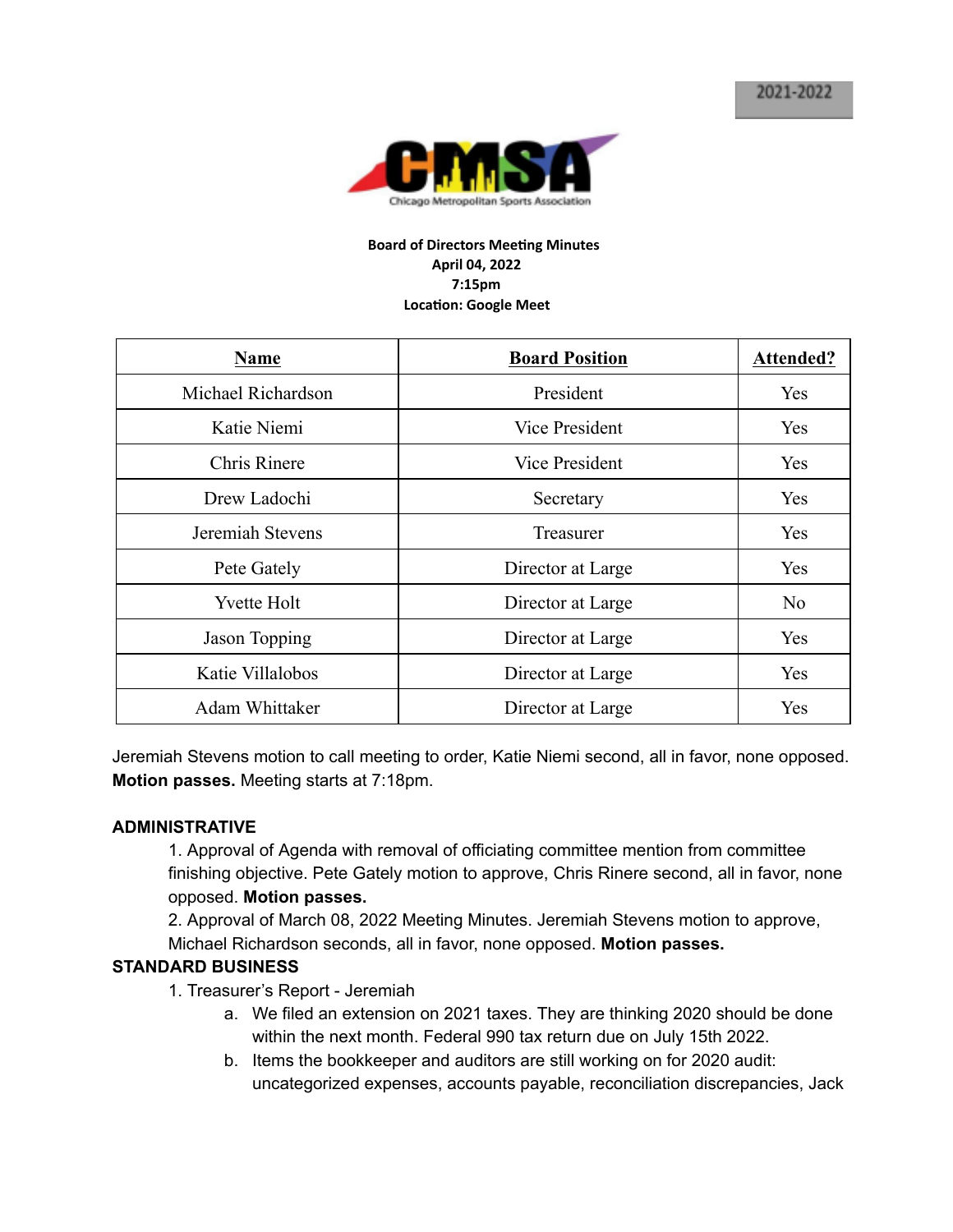

#### **Board of Directors Meeting Minutes April 04, 2022 7:15pm Location: Google Meet**

| <b>Name</b>         | <b>Board Position</b> | Attended? |
|---------------------|-----------------------|-----------|
| Michael Richardson  | President             | Yes       |
| Katie Niemi         | Vice President        | Yes       |
| <b>Chris Rinere</b> | Vice President        | Yes       |
| Drew Ladochi        | Secretary             | Yes       |
| Jeremiah Stevens    | Treasurer             | Yes       |
| Pete Gately         | Director at Large     | Yes       |
| <b>Yvette Holt</b>  | Director at Large     | No        |
| Jason Topping       | Director at Large     | Yes       |
| Katie Villalobos    | Director at Large     | Yes       |
| Adam Whittaker      | Director at Large     | Yes       |

Jeremiah Stevens motion to call meeting to order, Katie Niemi second, all in favor, none opposed. **Motion passes.** Meeting starts at 7:18pm.

### **ADMINISTRATIVE**

1. Approval of Agenda with removal of officiating committee mention from committee finishing objective. Pete Gately motion to approve, Chris Rinere second, all in favor, none opposed. **Motion passes.**

2. Approval of March 08, 2022 Meeting Minutes. Jeremiah Stevens motion to approve, Michael Richardson seconds, all in favor, none opposed. **Motion passes.**

### **STANDARD BUSINESS**

- 1. Treasurer's Report Jeremiah
	- a. We filed an extension on 2021 taxes. They are thinking 2020 should be done within the next month. Federal 990 tax return due on July 15th 2022.
	- b. Items the bookkeeper and auditors are still working on for 2020 audit: uncategorized expenses, accounts payable, reconciliation discrepancies, Jack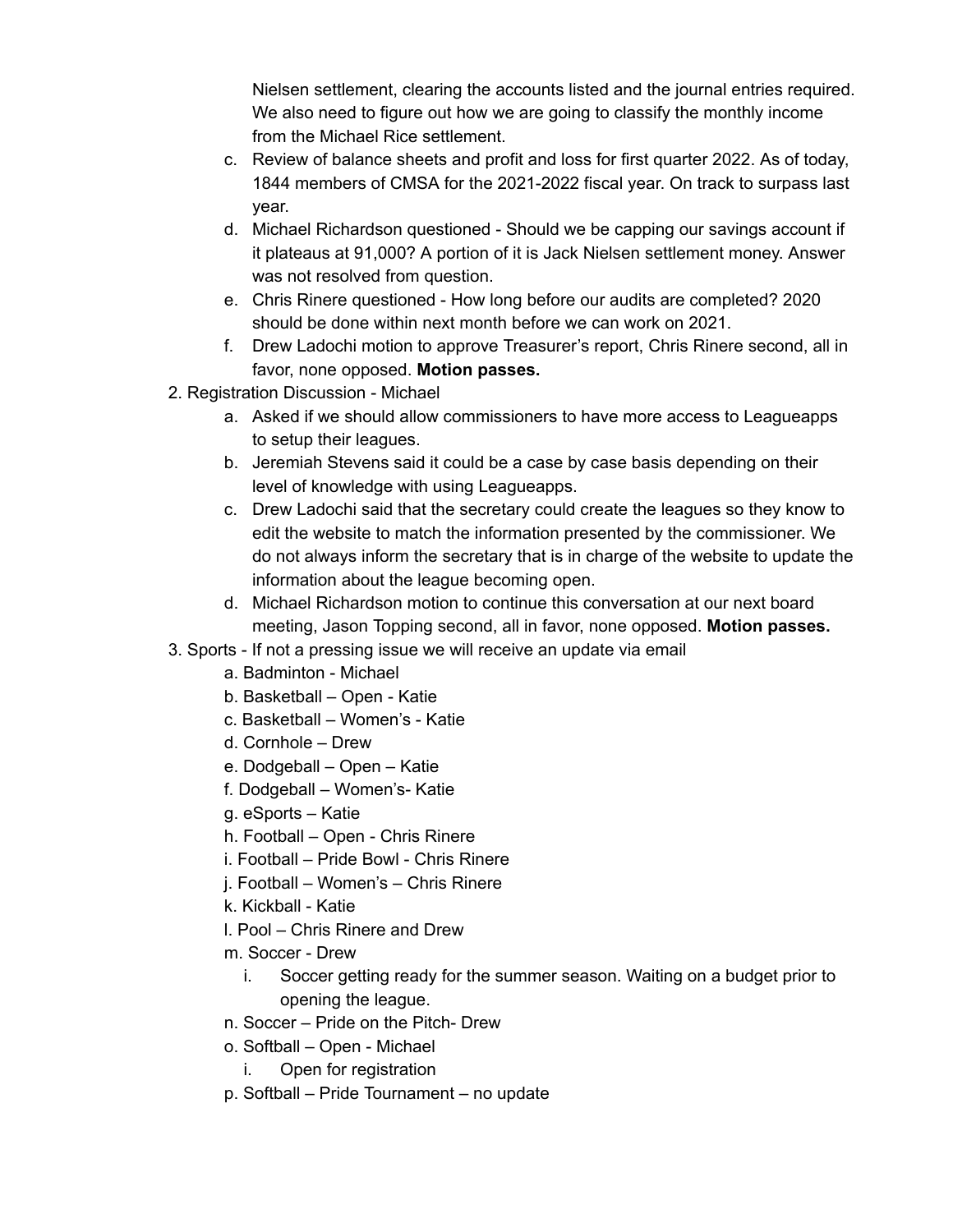Nielsen settlement, clearing the accounts listed and the journal entries required. We also need to figure out how we are going to classify the monthly income from the Michael Rice settlement.

- c. Review of balance sheets and profit and loss for first quarter 2022. As of today, 1844 members of CMSA for the 2021-2022 fiscal year. On track to surpass last year.
- d. Michael Richardson questioned Should we be capping our savings account if it plateaus at 91,000? A portion of it is Jack Nielsen settlement money. Answer was not resolved from question.
- e. Chris Rinere questioned How long before our audits are completed? 2020 should be done within next month before we can work on 2021.
- f. Drew Ladochi motion to approve Treasurer's report, Chris Rinere second, all in favor, none opposed. **Motion passes.**
- 2. Registration Discussion Michael
	- a. Asked if we should allow commissioners to have more access to Leagueapps to setup their leagues.
	- b. Jeremiah Stevens said it could be a case by case basis depending on their level of knowledge with using Leagueapps.
	- c. Drew Ladochi said that the secretary could create the leagues so they know to edit the website to match the information presented by the commissioner. We do not always inform the secretary that is in charge of the website to update the information about the league becoming open.
	- d. Michael Richardson motion to continue this conversation at our next board meeting, Jason Topping second, all in favor, none opposed. **Motion passes.**
- 3. Sports If not a pressing issue we will receive an update via email
	- a. Badminton Michael
	- b. Basketball Open Katie
	- c. Basketball Women's Katie
	- d. Cornhole Drew
	- e. Dodgeball Open Katie
	- f. Dodgeball Women's- Katie
	- g. eSports Katie
	- h. Football Open Chris Rinere
	- i. Football Pride Bowl Chris Rinere
	- j. Football Women's Chris Rinere
	- k. Kickball Katie
	- l. Pool Chris Rinere and Drew
	- m. Soccer Drew
		- i. Soccer getting ready for the summer season. Waiting on a budget prior to opening the league.
	- n. Soccer Pride on the Pitch- Drew
	- o. Softball Open Michael
		- i. Open for registration
	- p. Softball Pride Tournament no update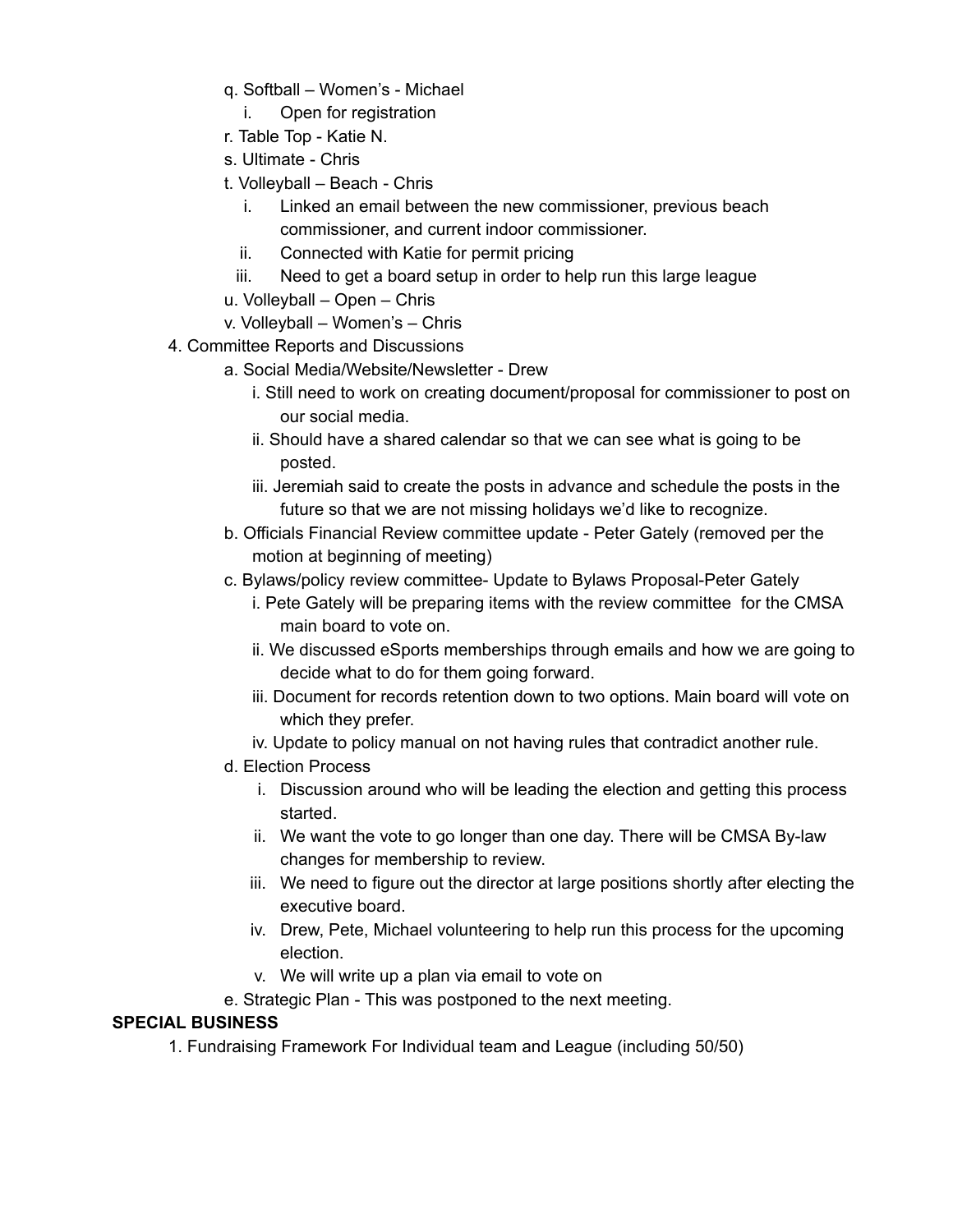- q. Softball Women's Michael
	- i. Open for registration
- r. Table Top Katie N.
- s. Ultimate Chris
- t. Volleyball Beach Chris
	- i. Linked an email between the new commissioner, previous beach commissioner, and current indoor commissioner.
	- ii. Connected with Katie for permit pricing
	- iii. Need to get a board setup in order to help run this large league
- u. Volleyball Open Chris
- v. Volleyball Women's Chris
- 4. Committee Reports and Discussions
	- a. Social Media/Website/Newsletter Drew
		- i. Still need to work on creating document/proposal for commissioner to post on our social media.
		- ii. Should have a shared calendar so that we can see what is going to be posted.
		- iii. Jeremiah said to create the posts in advance and schedule the posts in the future so that we are not missing holidays we'd like to recognize.
	- b. Officials Financial Review committee update Peter Gately (removed per the motion at beginning of meeting)
	- c. Bylaws/policy review committee- Update to Bylaws Proposal-Peter Gately
		- i. Pete Gately will be preparing items with the review committee for the CMSA main board to vote on.
		- ii. We discussed eSports memberships through emails and how we are going to decide what to do for them going forward.
		- iii. Document for records retention down to two options. Main board will vote on which they prefer.
		- iv. Update to policy manual on not having rules that contradict another rule.
	- d. Election Process
		- i. Discussion around who will be leading the election and getting this process started.
		- ii. We want the vote to go longer than one day. There will be CMSA By-law changes for membership to review.
		- iii. We need to figure out the director at large positions shortly after electing the executive board.
		- iv. Drew, Pete, Michael volunteering to help run this process for the upcoming election.
		- v. We will write up a plan via email to vote on
	- e. Strategic Plan This was postponed to the next meeting.

## **SPECIAL BUSINESS**

1. Fundraising Framework For Individual team and League (including 50/50)